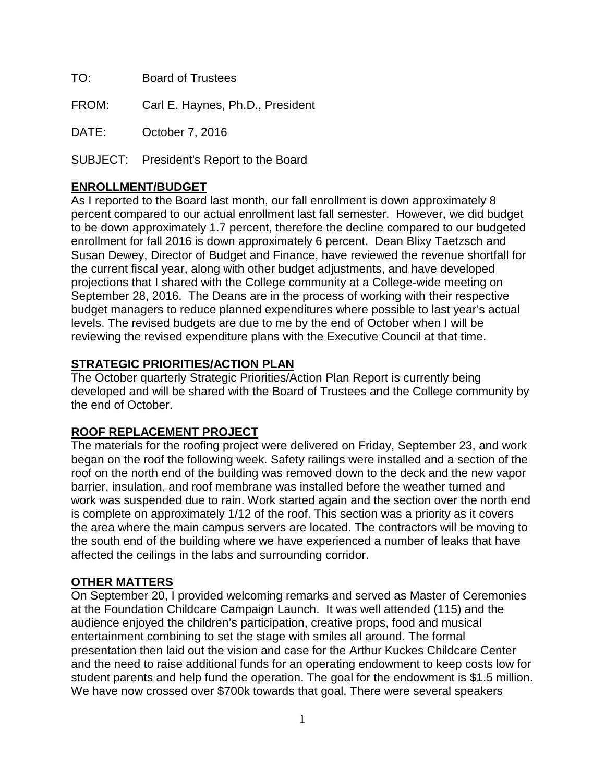TO: Board of Trustees

FROM: Carl E. Haynes, Ph.D., President

DATE: October 7, 2016

SUBJECT: President's Report to the Board

## **ENROLLMENT/BUDGET**

As I reported to the Board last month, our fall enrollment is down approximately 8 percent compared to our actual enrollment last fall semester. However, we did budget to be down approximately 1.7 percent, therefore the decline compared to our budgeted enrollment for fall 2016 is down approximately 6 percent. Dean Blixy Taetzsch and Susan Dewey, Director of Budget and Finance, have reviewed the revenue shortfall for the current fiscal year, along with other budget adjustments, and have developed projections that I shared with the College community at a College-wide meeting on September 28, 2016. The Deans are in the process of working with their respective budget managers to reduce planned expenditures where possible to last year's actual levels. The revised budgets are due to me by the end of October when I will be reviewing the revised expenditure plans with the Executive Council at that time.

## **STRATEGIC PRIORITIES/ACTION PLAN**

The October quarterly Strategic Priorities/Action Plan Report is currently being developed and will be shared with the Board of Trustees and the College community by the end of October.

## **ROOF REPLACEMENT PROJECT**

The materials for the roofing project were delivered on Friday, September 23, and work began on the roof the following week. Safety railings were installed and a section of the roof on the north end of the building was removed down to the deck and the new vapor barrier, insulation, and roof membrane was installed before the weather turned and work was suspended due to rain. Work started again and the section over the north end is complete on approximately 1/12 of the roof. This section was a priority as it covers the area where the main campus servers are located. The contractors will be moving to the south end of the building where we have experienced a number of leaks that have affected the ceilings in the labs and surrounding corridor.

## **OTHER MATTERS**

On September 20, I provided welcoming remarks and served as Master of Ceremonies at the Foundation Childcare Campaign Launch. It was well attended (115) and the audience enjoyed the children's participation, creative props, food and musical entertainment combining to set the stage with smiles all around. The formal presentation then laid out the vision and case for the Arthur Kuckes Childcare Center and the need to raise additional funds for an operating endowment to keep costs low for student parents and help fund the operation. The goal for the endowment is \$1.5 million. We have now crossed over \$700k towards that goal. There were several speakers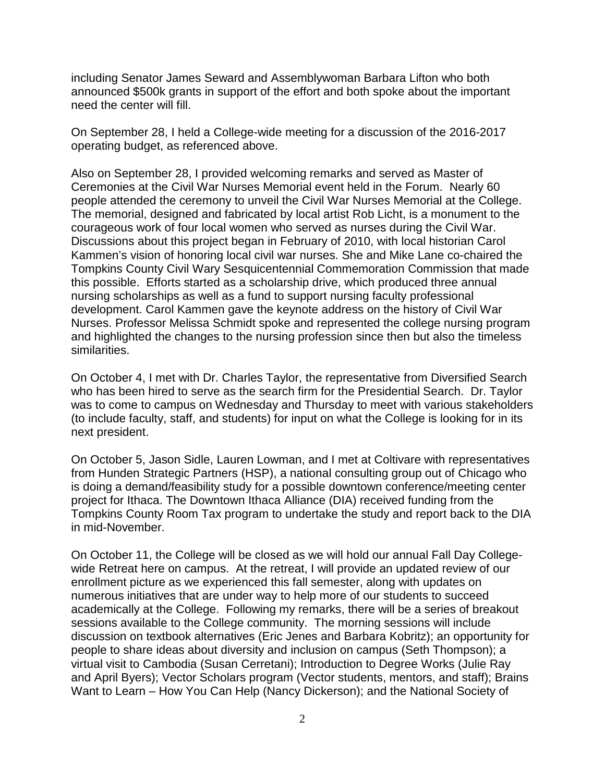including Senator James Seward and Assemblywoman Barbara Lifton who both announced \$500k grants in support of the effort and both spoke about the important need the center will fill.

On September 28, I held a College-wide meeting for a discussion of the 2016-2017 operating budget, as referenced above.

Also on September 28, I provided welcoming remarks and served as Master of Ceremonies at the Civil War Nurses Memorial event held in the Forum. Nearly 60 people attended the ceremony to unveil the Civil War Nurses Memorial at the College. The memorial, designed and fabricated by local artist Rob Licht, is a monument to the courageous work of four local women who served as nurses during the Civil War. Discussions about this project began in February of 2010, with local historian Carol Kammen's vision of honoring local civil war nurses. She and Mike Lane co-chaired the Tompkins County Civil Wary Sesquicentennial Commemoration Commission that made this possible. Efforts started as a scholarship drive, which produced three annual nursing scholarships as well as a fund to support nursing faculty professional development. Carol Kammen gave the keynote address on the history of Civil War Nurses. Professor Melissa Schmidt spoke and represented the college nursing program and highlighted the changes to the nursing profession since then but also the timeless similarities.

On October 4, I met with Dr. Charles Taylor, the representative from Diversified Search who has been hired to serve as the search firm for the Presidential Search. Dr. Taylor was to come to campus on Wednesday and Thursday to meet with various stakeholders (to include faculty, staff, and students) for input on what the College is looking for in its next president.

On October 5, Jason Sidle, Lauren Lowman, and I met at Coltivare with representatives from Hunden Strategic Partners (HSP), a national consulting group out of Chicago who is doing a demand/feasibility study for a possible downtown conference/meeting center project for Ithaca. The Downtown Ithaca Alliance (DIA) received funding from the Tompkins County Room Tax program to undertake the study and report back to the DIA in mid-November.

On October 11, the College will be closed as we will hold our annual Fall Day Collegewide Retreat here on campus. At the retreat, I will provide an updated review of our enrollment picture as we experienced this fall semester, along with updates on numerous initiatives that are under way to help more of our students to succeed academically at the College. Following my remarks, there will be a series of breakout sessions available to the College community. The morning sessions will include discussion on textbook alternatives (Eric Jenes and Barbara Kobritz); an opportunity for people to share ideas about diversity and inclusion on campus (Seth Thompson); a virtual visit to Cambodia (Susan Cerretani); Introduction to Degree Works (Julie Ray and April Byers); Vector Scholars program (Vector students, mentors, and staff); Brains Want to Learn – How You Can Help (Nancy Dickerson); and the National Society of